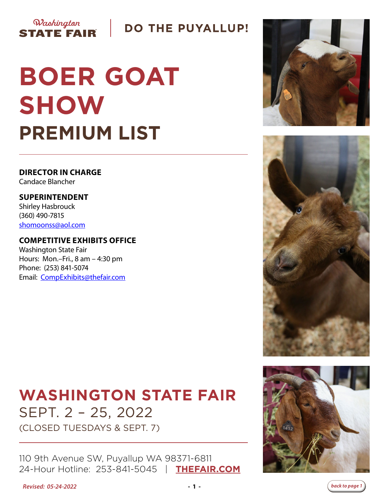## **DO THE PUYALLUP!**

# **BOER GOAT SHOW PREMIUM LIST**

**DIRECTOR IN CHARGE** Candace Blancher

Washington

**STATE FAIR** 

**SUPERINTENDENT** Shirley Hasbrouck (360) 490-7815 [shomoonss@aol.com](mailto:shomoonss%40aol.com?subject=Boer%20Goat%20Show)

#### **COMPETITIVE EXHIBITS OFFICE**

Washington State Fair Hours: Mon.–Fri., 8 am – 4:30 pm Phone: (253) 841-5074 Email: [CompExhibits@thefair.com](mailto:CompExhibits%40thefair.com?subject=Washington%20State%20Fair%20Boer%20Goats%20Show)

# **WASHINGTON STATE FAIR** SEPT. 2 – 25, 2022

(CLOSED TUESDAYS & SEPT. 7)

110 9th Avenue SW, Puyallup WA 98371-6811 24-Hour Hotline: 253-841-5045 | **[THEFAIR.COM](http://www.thefair.com)**









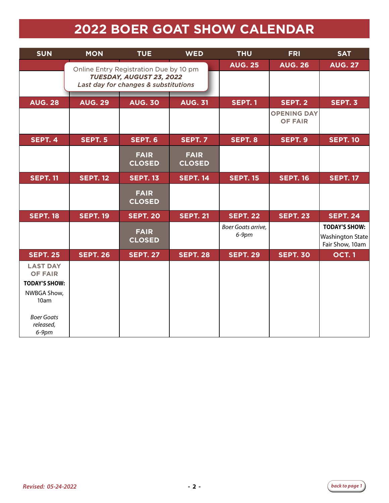# **2022 BOER GOAT SHOW CALENDAR**

| <b>SUN</b>                                                | <b>MON</b>      | <b>TUE</b>                                                       | <b>WED</b>                   | <b>THU</b>                     | <b>FRI</b>                           | <b>SAT</b>                                                  |
|-----------------------------------------------------------|-----------------|------------------------------------------------------------------|------------------------------|--------------------------------|--------------------------------------|-------------------------------------------------------------|
|                                                           |                 | Online Entry Registration Due by 10 pm                           |                              | <b>AUG. 25</b>                 | <b>AUG. 26</b>                       | <b>AUG. 27</b>                                              |
|                                                           |                 | TUESDAY, AUGUST 23, 2022<br>Last day for changes & substitutions |                              |                                |                                      |                                                             |
| <b>AUG. 28</b>                                            | <b>AUG. 29</b>  | <b>AUG. 30</b>                                                   | <b>AUG. 31</b>               | <b>SEPT. 1</b>                 | SEPT. 2                              | SEPT. 3                                                     |
|                                                           |                 |                                                                  |                              |                                | <b>OPENING DAY</b><br><b>OF FAIR</b> |                                                             |
| SEPT. 4                                                   | <b>SEPT. 5</b>  | <b>SEPT. 6</b>                                                   | <b>SEPT. 7</b>               | SEPT. 8                        | SEPT. 9                              | <b>SEPT. 10</b>                                             |
|                                                           |                 | <b>FAIR</b><br><b>CLOSED</b>                                     | <b>FAIR</b><br><b>CLOSED</b> |                                |                                      |                                                             |
| <b>SEPT. 11</b>                                           | <b>SEPT. 12</b> | <b>SEPT. 13</b>                                                  | <b>SEPT. 14</b>              | <b>SEPT. 15</b>                | <b>SEPT. 16</b>                      | <b>SEPT. 17</b>                                             |
|                                                           |                 | <b>FAIR</b><br><b>CLOSED</b>                                     |                              |                                |                                      |                                                             |
| <b>SEPT. 18</b>                                           | <b>SEPT. 19</b> | <b>SEPT. 20</b>                                                  | <b>SEPT. 21</b>              | <b>SEPT. 22</b>                | <b>SEPT. 23</b>                      | <b>SEPT. 24</b>                                             |
|                                                           |                 | <b>FAIR</b><br><b>CLOSED</b>                                     |                              | Boer Goats arrive,<br>$6-9$ pm |                                      | <b>TODAY'S SHOW:</b><br>Washington State<br>Fair Show, 10am |
| <b>SEPT. 25</b>                                           | <b>SEPT. 26</b> | <b>SEPT. 27</b>                                                  | <b>SEPT. 28</b>              | <b>SEPT. 29</b>                | <b>SEPT. 30</b>                      | <b>OCT.1</b>                                                |
| <b>LAST DAY</b><br><b>OF FAIR</b><br><b>TODAY'S SHOW:</b> |                 |                                                                  |                              |                                |                                      |                                                             |
| NWBGA Show,<br>10am                                       |                 |                                                                  |                              |                                |                                      |                                                             |
| <b>Boer Goats</b><br>released,<br>$6-9$ pm                |                 |                                                                  |                              |                                |                                      |                                                             |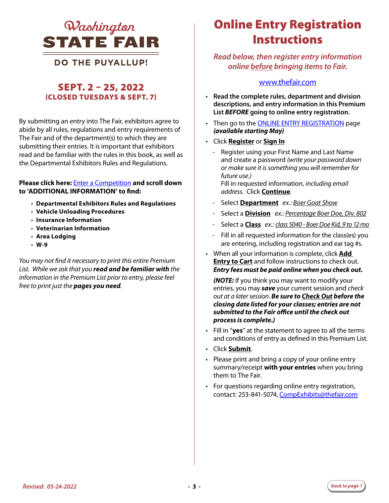

#### **DO THE PUYALLUP!**

#### SEPT. 2 – 25, 2022 (CLOSED TUESDAYS & SEPT. 7)

By submitting an entry into The Fair, exhibitors agree to abide by all rules, regulations and entry requirements of The Fair and of the department(s) to which they are submitting their entries. It is important that exhibitors read and be familiar with the rules in this book, as well as the Departmental Exhibitors Rules and Regulations.

#### **Please click here:** [Enter a Competition](https://www.thefair.com/get-involved/competitive-exhibits/) **and scroll down to 'ADDITIONAL INFORMATION' to find:**

- **Departmental Exhibitors Rules and Regulations**
- **Vehicle Unloading Procedures**
- **Insurance Information**
- **Veterinarian Information**
- **Area Lodging**
- **W-9**

*You may not find it necessary to print this entire Premium List. While we ask that you read and be familiar with the information in the Premium List prior to entry, please feel free to print just the pages you need.* 

# Online Entry Registration **Instructions**

#### *Read below, then register entry information online before bringing items to Fair.*

#### [www.thefair.com](http://www.thefair.com)

- **Read the complete rules, department and division descriptions, and entry information in this Premium List** *BEFORE* **going to online entry registration.**
- Then go to the [ONLINE ENTRY REGISTRATION](https://wwf.fairwire.com/) page *(available starting May)*
- Click **Register** or **Sign In**
	- Register using your First Name and Last Name and create a password *(write your password down or make sure it is something you will remember for future use.)* Fill in requested information, *including email*

*address*. Click **Continue**.

- Select **Department** *ex.: Boer Goat Show*
- Select a **Division** *ex.: Percentage Boer Doe, Div. 802*
- Select a **Class** *ex.: class 5040 Boer Doe Kid, 9 to 12 mo*
- Fill in all requested information for the class(es) you are entering, including registration and ear tag #s.
- When all your information is complete, click **Add Entry to Cart** and follow instructions to check out. *Entry fees must be paid online when you check out.*

*(NOTE:* If you think you may want to modify your entries, you may *save* your current session and *check out at a later session*. *Be sure to Check Out before the closing date listed for your classes; entries are not submitted to the Fair office until the check out process is complete.)*

- Fill in "**yes**" at the statement to agree to all the terms and conditions of entry as defined in this Premium List.
- Click **Submit**.
- Please print and bring a copy of your online entry summary/receipt **with your entries** when you bring them to The Fair.
- For questions regarding online entry registration, contact: 253-841-5074, CompExhibits@thefair.com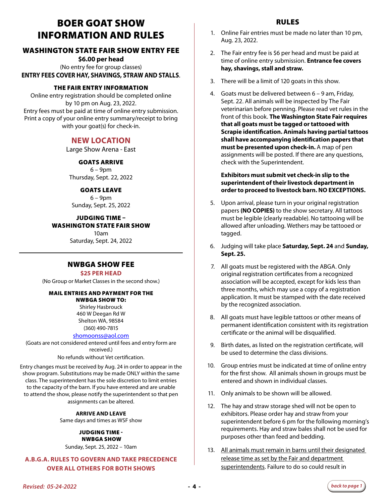### BOER GOAT SHOW INFORMATION AND RULES

#### WASHINGTON STATE FAIR SHOW ENTRY FEE

**\$6.00 per head** (No entry fee for group classes) **ENTRY FEES COVER HAY, SHAVINGS, STRAW AND STALLS**.

#### THE FAIR ENTRY INFORMATION

Online entry registration should be completed online by 10 pm on Aug. 23, 2022. Entry fees must be paid at time of online entry submission. Print a copy of your online entry summary/receipt to bring with your goat(s) for check-in.

#### **NEW LOCATION**

Large Show Arena - East

#### GOATS ARRIVE

 $6 - 9$ pm Thursday, Sept. 22, 2022

#### GOATS LEAVE

6 – 9pm Sunday, Sept. 25, 2022

#### JUDGING TIME – WASHINGTON STATE FAIR SHOW

10am Saturday, Sept. 24, 2022

#### NWBGA SHOW FEE

#### **\$25 PER HEAD**

(No Group or Market Classes in the second show.)

#### MAIL ENTRIES AND PAYMENT FOR THE

NWBGA SHOW TO: Shirley Hasbrouck 460 W Deegan Rd W Shelton WA, 98584 (360) 490-7815

#### [shomoonss@aol.com](mailto:shomoonss%40aol.com%20?subject=Boer%20Goat%20Show)

(Goats are not considered entered until fees and entry form are received.)

No refunds without Vet certification.

Entry changes must be received by Aug. 24 in order to appear in the show program. Substitutions may be made ONLY within the same class. The superintendent has the sole discretion to limit entries to the capacity of the barn. If you have entered and are unable to attend the show, please notify the superintendent so that pen assignments can be altered.

> **ARRIVE AND LEAVE**  Same days and times as WSF show

#### JUDGING TIME - NWBGA SHOW

Sunday, Sept. 25, 2022 – 10am

#### **A.B.G.A. RULES TO GOVERN AND TAKE PRECEDENCE OVER ALL OTHERS FOR BOTH SHOWS**

- 1. Online Fair entries must be made no later than 10 pm, Aug. 23, 2022.
- 2. The Fair entry fee is \$6 per head and must be paid at time of online entry submission. **Entrance fee covers hay, shavings, stall and straw.**
- 3. There will be a limit of 120 goats in this show.
- 4. Goats must be delivered between 6 9 am, Friday, Sept. 22. All animals will be inspected by The Fair veterinarian before penning. Please read vet rules in the front of this book. **The Washington State Fair requires that all goats must be tagged or tattooed with Scrapie identification. Animals having partial tattoos shall have accompanying identification papers that must be presented upon check-in.** A map of pen assignments will be posted. If there are any questions, check with the Superintendent.

#### **Exhibitors must submit vet check-in slip to the superintendent of their livestock department in order to proceed to livestock barn. NO EXCEPTIONS.**

- 5. Upon arrival, please turn in your original registration papers **(NO COPIES)** to the show secretary. All tattoos must be legible (clearly readable). No tattooing will be allowed after unloading. Wethers may be tattooed or tagged.
- 6. Judging will take place **Saturday, Sept. 24** and **Sunday, Sept. 25.**
- 7. All goats must be registered with the ABGA. Only original registration certificates from a recognized association will be accepted, except for kids less than three months, which may use a copy of a registration application. It must be stamped with the date received by the recognized association.
- 8. All goats must have legible tattoos or other means of permanent identification consistent with its registration certificate or the animal will be disqualified.
- 9. Birth dates, as listed on the registration certificate, will be used to determine the class divisions.
- 10. Group entries must be indicated at time of online entry for the first show. All animals shown in groups must be entered and shown in individual classes.
- 11. Only animals to be shown will be allowed.
- 12. The hay and straw storage shed will not be open to exhibitors. Please order hay and straw from your superintendent before 6 pm for the following morning's requirements. Hay and straw bales shall not be used for purposes other than feed and bedding.
- 13. All animals must remain in barns until their designated release time as set by the Fair and department superintendents. Failure to do so could result in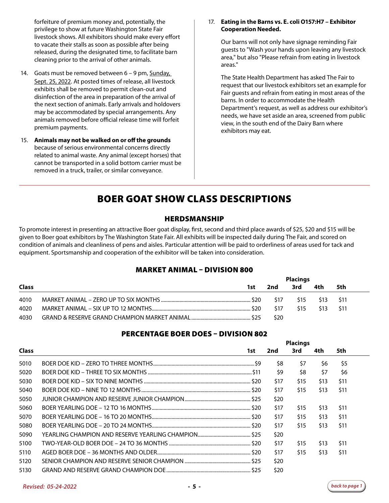forfeiture of premium money and, potentially, the privilege to show at future Washington State Fair livestock shows. All exhibitors should make every effort to vacate their stalls as soon as possible after being released, during the designated time, to facilitate barn cleaning prior to the arrival of other animals.

- 14. Goats must be removed between 6 9 pm, Sunday, Sept. 25, 2022. At posted times of release, all livestock exhibits shall be removed to permit clean-out and disinfection of the area in preparation of the arrival of the next section of animals. Early arrivals and holdovers may be accommodated by special arrangements. Any animals removed before official release time will forfeit premium payments.
- 15. **Animals may not be walked on or off the grounds**  because of serious environmental concerns directly related to animal waste. Any animal (except horses) that cannot be transported in a solid bottom carrier must be removed in a truck, trailer, or similar conveyance.

#### 17. **Eating in the Barns vs. E. coli O157:H7 – Exhibitor Cooperation Needed.**

 Our barns will not only have signage reminding Fair guests to "Wash your hands upon leaving any livestock area," but also "Please refrain from eating in livestock areas."

 The State Health Department has asked The Fair to request that our livestock exhibitors set an example for Fair guests and refrain from eating in most areas of the barns. In order to accommodate the Health Department's request, as well as address our exhibitor's needs, we have set aside an area, screened from public view, in the south end of the Dairy Barn where exhibitors may eat.

### BOER GOAT SHOW CLASS DESCRIPTIONS

#### HERDSMANSHIP

To promote interest in presenting an attractive Boer goat display, first, second and third place awards of \$25, \$20 and \$15 will be given to Boer goat exhibitors by The Washington State Fair. All exhibits will be inspected daily during The Fair, and scored on condition of animals and cleanliness of pens and aisles. Particular attention will be paid to orderliness of areas used for tack and equipment. Sportsmanship and cooperation of the exhibitor will be taken into consideration.

#### MARKET ANIMAL – DIVISION 800

|              |      | <b>Placings</b> |      |                 |      |  |
|--------------|------|-----------------|------|-----------------|------|--|
| <b>Class</b> | 1st. | 2nd             | 3rd  | 4th             | 5th  |  |
| 4010         |      | \$17            | \$15 | S <sub>13</sub> | -S11 |  |
| 4020         |      | \$17            | \$15 | S <sub>13</sub> | S11  |  |
| 4030         |      | S20             |      |                 |      |  |

#### PERCENTAGE BOER DOES – DIVISION 802

|              |     | <b>Placings</b> |      |      |      |      |  |
|--------------|-----|-----------------|------|------|------|------|--|
| <b>Class</b> | 1st | 2nd             |      | 3rd  | 4th  | 5th  |  |
| 5010         |     |                 | \$8  | \$7  | \$6  | \$5  |  |
| 5020         |     |                 | \$9  | \$8  | \$7  | \$6  |  |
| 5030         |     |                 | \$17 | \$15 | \$13 | \$11 |  |
| 5040         |     |                 | \$17 | \$15 | \$13 | \$11 |  |
| 5050         |     |                 | \$20 |      |      |      |  |
| 5060         |     |                 | \$17 | \$15 | \$13 | \$11 |  |
| 5070         |     |                 | \$17 | \$15 | \$13 | \$11 |  |
| 5080         |     |                 | \$17 | \$15 | \$13 | \$11 |  |
| 5090         |     |                 | \$20 |      |      |      |  |
| 5100         |     |                 | \$17 | \$15 | \$13 | \$11 |  |
| 5110         |     |                 | \$17 | \$15 | \$13 | \$11 |  |
| 5120         |     |                 | \$20 |      |      |      |  |
| 5130         |     |                 | \$20 |      |      |      |  |